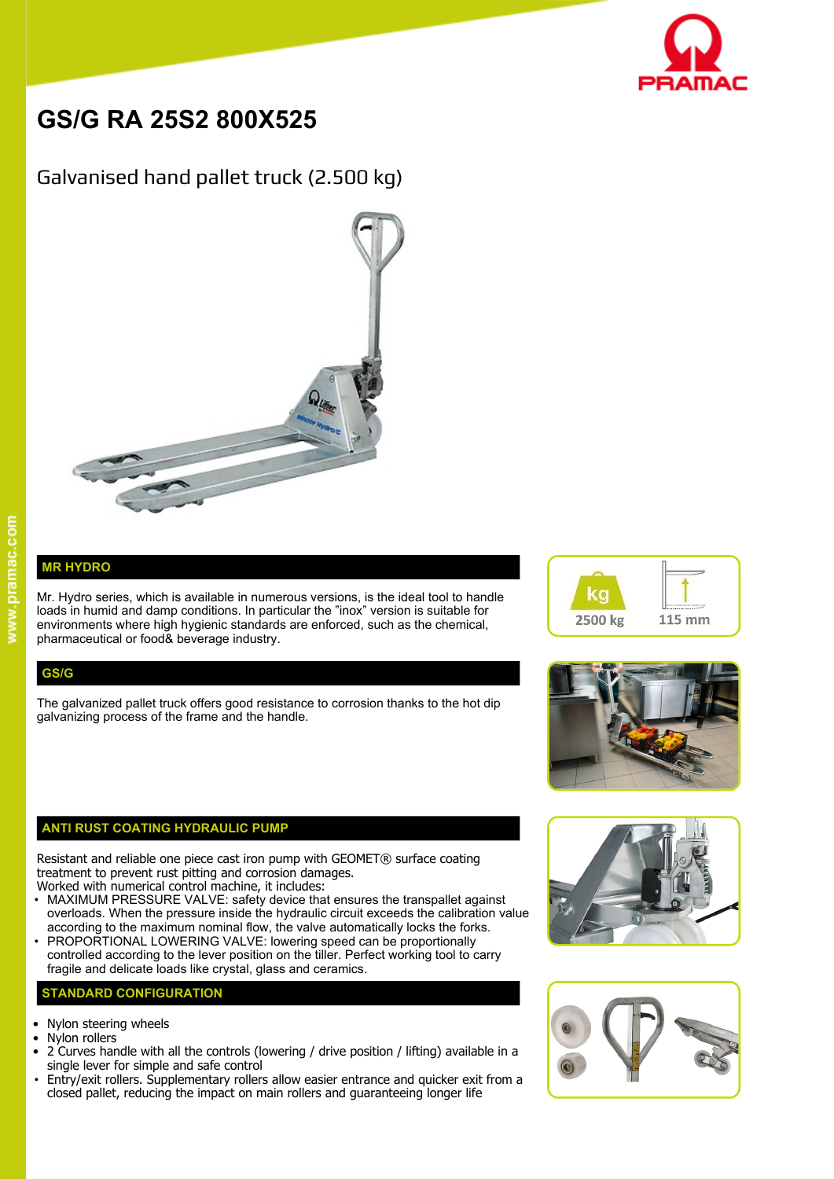

# **GS/G RA 25S2 800X525**

# Galvanised hand pallet truck (2.500 kg)



## **MR HYDRO**

Mr. Hydro series, which is available in numerous versions, is the ideal tool to handle  $\blacksquare$ loads in humid and damp conditions. In particular the "inox" version is suitable for environments where high hygienic standards are enforced, such as the chemical, pharmaceutical or food& beverage industry.

### **GS/G**

The galvanized pallet truck offers good resistance to corrosion thanks to the hot dip galvanizing process of the frame and the handle.

#### **ANTI RUST COATING HYDRAULIC PUMP**

Resistant and reliable one piece cast iron pump with GEOMET® surface coating treatment to prevent rust pitting and corrosion damages.

- Worked with numerical control machine, it includes: • MAXIMUM PRESSURE VALVE: safety device that ensures the transpallet against overloads. When the pressure inside the hydraulic circuit exceeds the calibration value according to the maximum nominal flow, the valve automatically locks the forks.
- PROPORTIONAL LOWERING VALVE: lowering speed can be proportionally controlled according to the lever position on the tiller. Perfect working tool to carry fragile and delicate loads like crystal, glass and ceramics.

#### **STANDARD CONFIGURATION**

- Nylon steering wheels
- Nylon rollers
- 2 Curves handle with all the controls (lowering / drive position / lifting) available in a single lever for simple and safe control
- Entry/exit rollers. Supplementary rollers allow easier entrance and quicker exit from a closed pallet, reducing the impact on main rollers and guaranteeing longer life







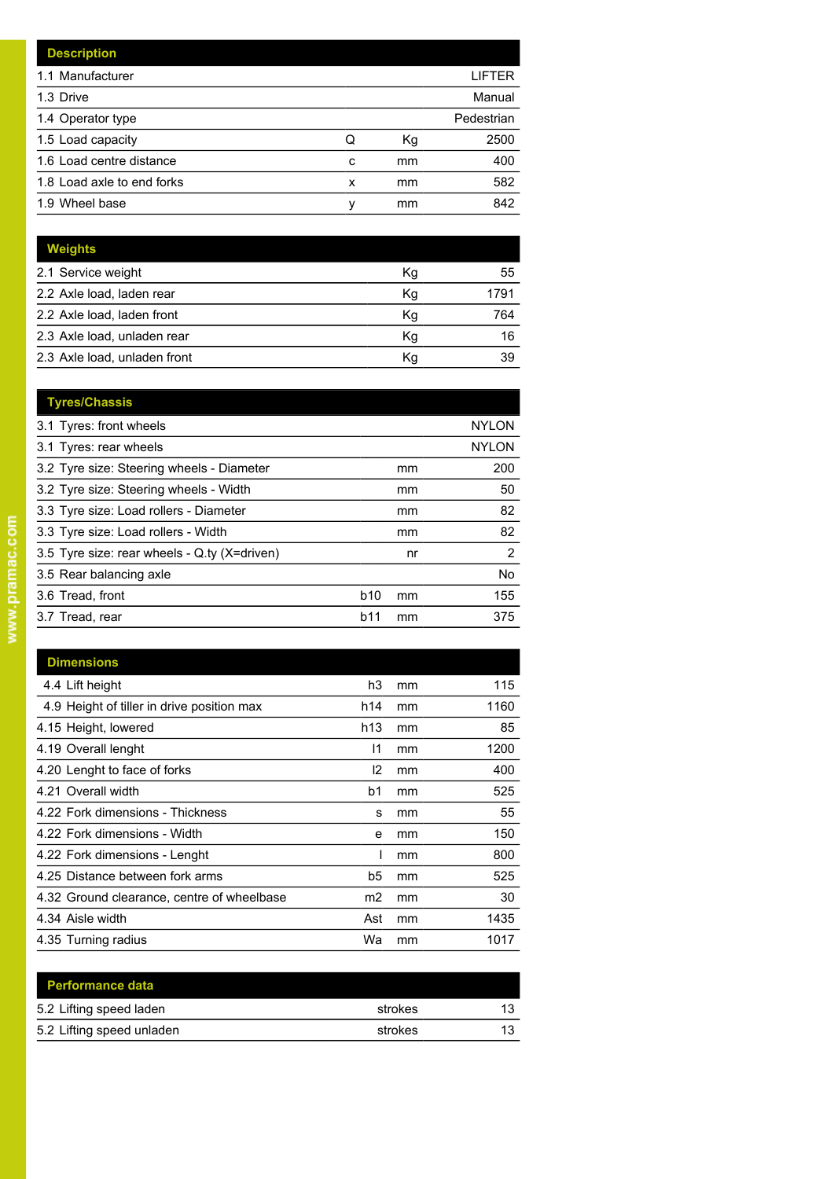|   |    | LIFTER     |
|---|----|------------|
|   |    | Manual     |
|   |    | Pedestrian |
| Q | Кg | 2500       |
| c | mm | 400        |
| x | mm | 582        |
| ν | mm | 842        |
|   |    |            |

| Weights                      |    |      |
|------------------------------|----|------|
| 2.1 Service weight           | Кg | 55   |
| 2.2 Axle load, laden rear    | Κq | 1791 |
| 2.2 Axle load, laden front   | Κg | 764  |
| 2.3 Axle load, unladen rear  | Κg | 16   |
| 2.3 Axle load, unladen front | Κq | 39   |

| <b>Tyres/Chassis</b>                         |            |    |              |
|----------------------------------------------|------------|----|--------------|
| 3.1 Tyres: front wheels                      |            |    | <b>NYLON</b> |
| 3.1 Tyres: rear wheels                       |            |    | <b>NYLON</b> |
| 3.2 Tyre size: Steering wheels - Diameter    |            | mm | 200          |
| 3.2 Tyre size: Steering wheels - Width       |            | mm | 50           |
| 3.3 Tyre size: Load rollers - Diameter       |            | mm | 82           |
| 3.3 Tyre size: Load rollers - Width          |            | mm | 82           |
| 3.5 Tyre size: rear wheels - Q.ty (X=driven) |            | nr | 2            |
| 3.5 Rear balancing axle                      |            |    | No.          |
| 3.6 Tread, front                             | <b>b10</b> | mm | 155          |
| 3.7 Tread, rear                              | b11        | mm | 375          |
|                                              |            |    |              |

| <b>Dimensions</b>                          |                |    |      |
|--------------------------------------------|----------------|----|------|
| 4.4 Lift height                            | h3             | mm | 115  |
| 4.9 Height of tiller in drive position max | h14            | mm | 1160 |
| 4.15 Height, lowered                       | h13            | mm | 85   |
| 4.19 Overall lenght                        | 11             | mm | 1200 |
| 4.20 Lenght to face of forks               | 12             | mm | 400  |
| 4.21 Overall width                         | b1             | mm | 525  |
| 4.22 Fork dimensions - Thickness           | s              | mm | 55   |
| 4.22 Fork dimensions - Width               | e              | mm | 150  |
| 4.22 Fork dimensions - Lenght              |                | mm | 800  |
| 4.25 Distance between fork arms            | b5             | mm | 525  |
| 4.32 Ground clearance, centre of wheelbase | m <sub>2</sub> | mm | 30   |
| 4.34 Aisle width                           | Ast            | mm | 1435 |
| 4.35 Turning radius                        | Wa             | mm | 1017 |

| <b>Performance data</b>   |         |    |
|---------------------------|---------|----|
| 5.2 Lifting speed laden   | strokes | 13 |
| 5.2 Lifting speed unladen | strokes | 13 |
|                           |         |    |